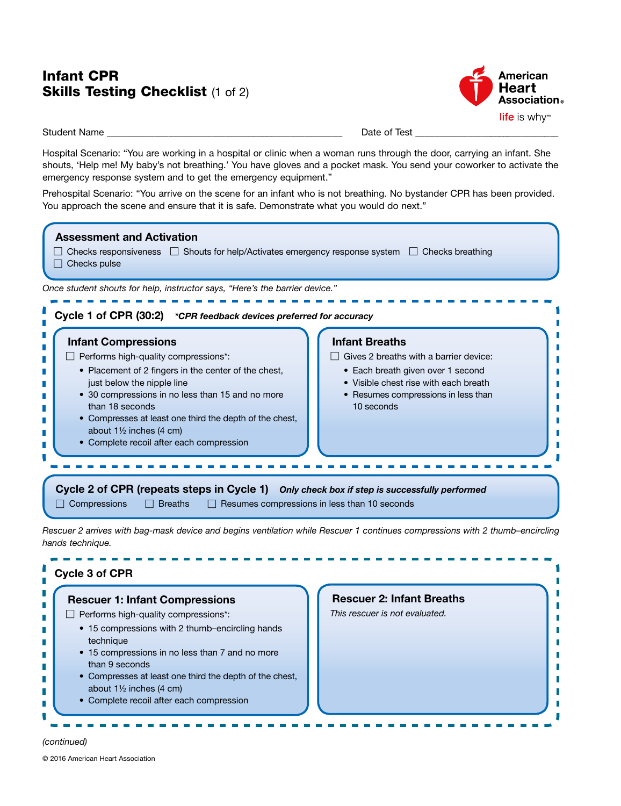### **Skills Testing Checklist (1 of 2)** Infant CPR



Ľ I.

Ľ

П

Student Name \_\_\_\_\_\_\_\_\_\_\_\_\_\_\_\_\_\_\_\_\_\_\_\_\_\_\_\_\_\_\_\_\_\_\_\_\_\_\_\_\_\_\_\_\_\_\_\_\_\_ Date of Test \_\_\_\_\_\_\_\_\_\_\_\_\_\_\_\_\_\_\_\_\_\_\_\_\_\_\_\_\_\_\_

Hospital Scenario: "You are working in a hospital or clinic when a woman runs through the door, carrying an infant. She shouts, 'Help me! My baby's not breathing.' You have gloves and a pocket mask. You send your coworker to activate the emergency response system and to get the emergency equipment."

Prehospital Scenario: "You arrive on the scene for an infant who is not breathing. No bystander CPR has been provided. You approach the scene and ensure that it is safe. Demonstrate what you would do next."

|                                               | Cycle 1 of CPR (30:2) *CPR feedback devices preferred for accuracy                                                                                                                                                                                                                                                       |                                                     |                                                                                                                                                                                                    |
|-----------------------------------------------|--------------------------------------------------------------------------------------------------------------------------------------------------------------------------------------------------------------------------------------------------------------------------------------------------------------------------|-----------------------------------------------------|----------------------------------------------------------------------------------------------------------------------------------------------------------------------------------------------------|
| <b>Infant Compressions</b><br>than 18 seconds | $\Box$ Performs high-quality compressions*:<br>• Placement of 2 fingers in the center of the chest,<br>just below the nipple line<br>• 30 compressions in no less than 15 and no more<br>• Compresses at least one third the depth of the chest,<br>about 11/2 inches (4 cm)<br>• Complete recoil after each compression |                                                     | <b>Infant Breaths</b><br>Gives 2 breaths with a barrier device:<br>• Each breath given over 1 second<br>• Visible chest rise with each breath<br>• Resumes compressions in less than<br>10 seconds |
| $\Box$ Compressions                           | <b>Breaths</b>                                                                                                                                                                                                                                                                                                           | $\Box$ Resumes compressions in less than 10 seconds | Cycle 2 of CPR (repeats steps in Cycle 1) Only check box if step is successfully performed                                                                                                         |
|                                               |                                                                                                                                                                                                                                                                                                                          |                                                     | Rescuer 2 arrives with bag-mask device and begins ventilation while Rescuer 1 continues compressions with 2 thumb-encircling                                                                       |

- 15 compressions in no less than 7 and no more than 9 seconds
- Compresses at least one third the depth of the chest, about 1½ inches (4 cm)
- Complete recoil after each compression

## *(continued)*

Ū г

г

г

г r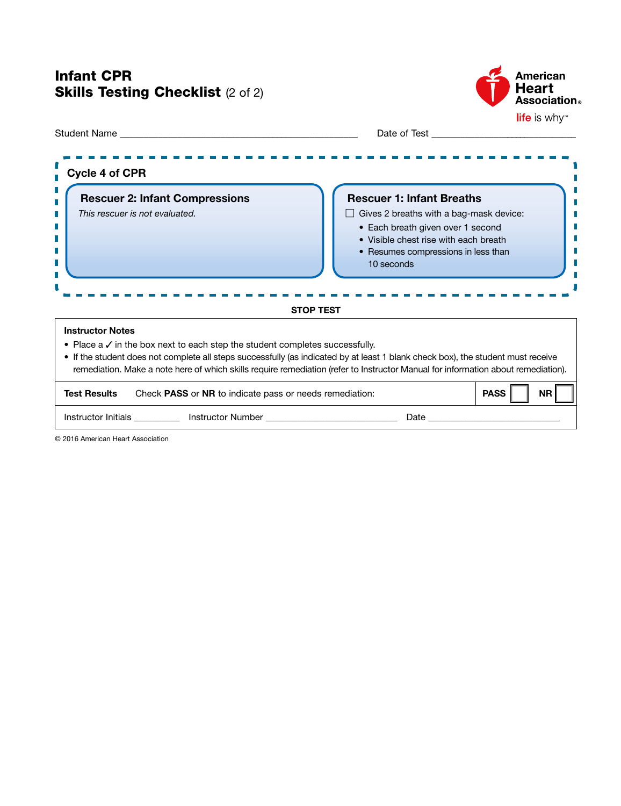## Infant CPR **Skills Testing Checklist (2 of 2)**



| Date of Test <b>Exercise Services Contract Contract Contract Contract Contract Contract Contract Contract Contract Contract Contract Contract Contract Contract Contract Contract Contract Contract Contract Contract Contract</b>                                                                                                                                                    |                                                                                                                                                                                                                                |  |
|---------------------------------------------------------------------------------------------------------------------------------------------------------------------------------------------------------------------------------------------------------------------------------------------------------------------------------------------------------------------------------------|--------------------------------------------------------------------------------------------------------------------------------------------------------------------------------------------------------------------------------|--|
| Cycle 4 of CPR                                                                                                                                                                                                                                                                                                                                                                        |                                                                                                                                                                                                                                |  |
| <b>Rescuer 2: Infant Compressions</b><br>This rescuer is not evaluated.                                                                                                                                                                                                                                                                                                               | <b>Rescuer 1: Infant Breaths</b><br>Gives 2 breaths with a bag-mask device:<br>• Each breath given over 1 second<br>• Visible chest rise with each breath<br>• Resumes compressions in less than<br>10 seconds                 |  |
| <b>STOP TEST</b>                                                                                                                                                                                                                                                                                                                                                                      |                                                                                                                                                                                                                                |  |
| <b>Instructor Notes</b><br>• Place $a \vee$ in the box next to each step the student completes successfully.<br>• If the student does not complete all steps successfully (as indicated by at least 1 blank check box), the student must receive<br>remediation. Make a note here of which skills require remediation (refer to Instructor Manual for information about remediation). |                                                                                                                                                                                                                                |  |
| <b>Test Results</b><br>Check PASS or NR to indicate pass or needs remediation:                                                                                                                                                                                                                                                                                                        | <b>PASS</b><br><b>NR</b>                                                                                                                                                                                                       |  |
| Instructor Initials ___________ Instructor Number ______________________________                                                                                                                                                                                                                                                                                                      | Date and the contract of the contract of the contract of the contract of the contract of the contract of the contract of the contract of the contract of the contract of the contract of the contract of the contract of the c |  |

© 2016 American Heart Association